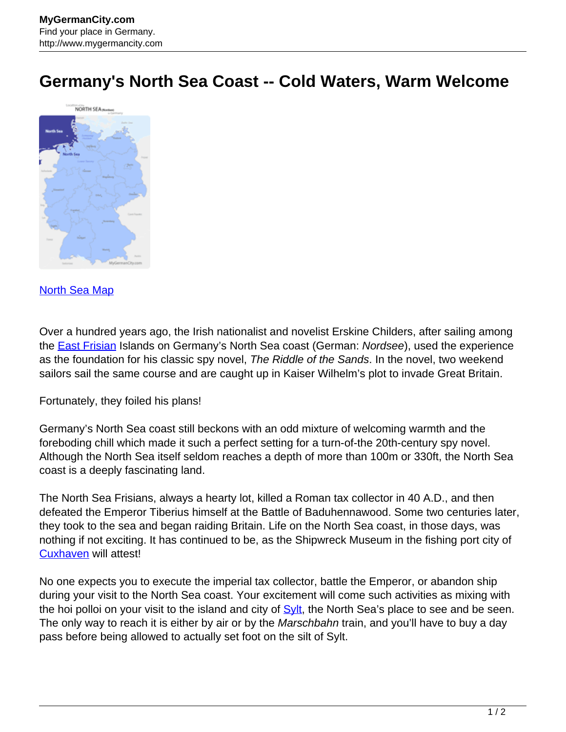## **Germany's North Sea Coast -- Cold Waters, Warm Welcome**



## [North Sea Map](http://www.mygermancity.com/north-sea-map)

Over a hundred years ago, the Irish nationalist and novelist Erskine Childers, after sailing among the **East Frisian** Islands on Germany's North Sea coast (German: Nordsee), used the experience as the foundation for his classic spy novel, The Riddle of the Sands. In the novel, two weekend sailors sail the same course and are caught up in Kaiser Wilhelm's plot to invade Great Britain.

## Fortunately, they foiled his plans!

Germany's North Sea coast still beckons with an odd mixture of welcoming warmth and the foreboding chill which made it such a perfect setting for a turn-of-the 20th-century spy novel. Although the North Sea itself seldom reaches a depth of more than 100m or 330ft, the North Sea coast is a deeply fascinating land.

The North Sea Frisians, always a hearty lot, killed a Roman tax collector in 40 A.D., and then defeated the Emperor Tiberius himself at the Battle of Baduhennawood. Some two centuries later, they took to the sea and began raiding Britain. Life on the North Sea coast, in those days, was nothing if not exciting. It has continued to be, as the Shipwreck Museum in the fishing port city of [Cuxhaven](http://www.mygermancity.com/cuxhaven) will attest!

No one expects you to execute the imperial tax collector, battle the Emperor, or abandon ship during your visit to the North Sea coast. Your excitement will come such activities as mixing with the hoi polloi on your visit to the island and city of **Sylt**, the North Sea's place to see and be seen. The only way to reach it is either by air or by the Marschbahn train, and you'll have to buy a day pass before being allowed to actually set foot on the silt of Sylt.